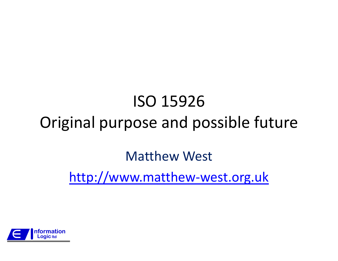### ISO 15926Original purpose and possible future

#### Matthew West

http://www.matthew-west.org.uk

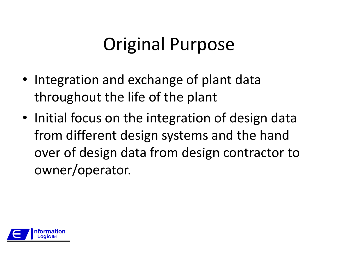### Original Purpose

- Integration and exchange of plant data throughout the life of the plant
- Initial focus on the integration of design data from different design systems and the hand over of design data from design contractor to owner/operator.

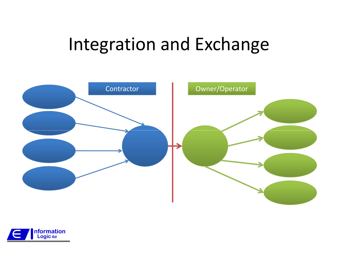### Integration and Exchange



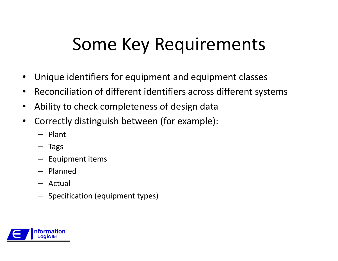### Some Key Requirements

- •Unique identifiers for equipment and equipment classes
- $\bullet$ Reconciliation of different identifiers across different systems
- $\bullet$ Ability to check completeness of design data
- $\bullet$  Correctly distinguish between (for example):
	- Plant
	- Tags
	- Equipment items
	- Planned
	- Actual
	- Specification (equipment types)

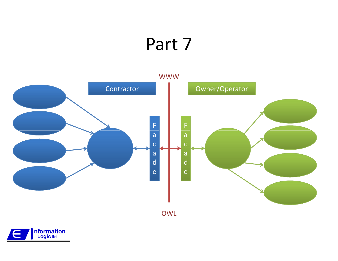### Part 7



OWL

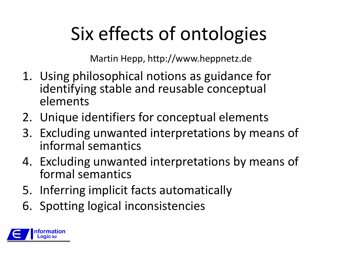# Six effects of ontologies

Martin Hepp, http://www.heppnetz.de

- 1. Using philosophical notions as guidance for identifying stable and reusable conceptual elements
- 2. Unique identifiers for conceptual elements
- 3. Excluding unwanted interpretations by means of informal semantics
- 4. Excluding unwanted interpretations by means of formal semantics
- 5. Inferring implicit facts automatically
- 6. Spotting logical inconsistencies

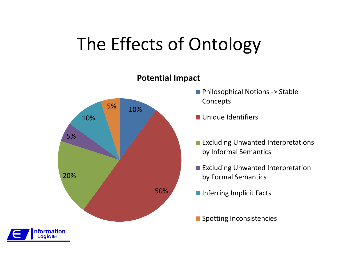## The Effects of Ontology



#### Potential Impact

- **Philosophical Notions -> Stable** Concepts
- **Unique Identifiers**
- **Excluding Unwanted Interpretations** by Informal Semantics
- **Excluding Unwanted Interpretation** by Formal Semantics
- **Inferring Implicit Facts**
- **Spotting Inconsistencies**

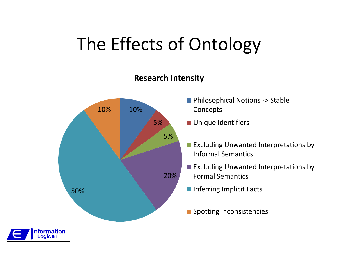## The Effects of Ontology

#### Research Intensity



**E** Formation i<br>J

**Logic ltd** 

- Philosophical Notions -> Stable Concepts
- **Unique Identifiers**
- **Excluding Unwanted Interpretations by** Informal Semantics
- **Excluding Unwanted Interpretations by** Formal Semantics
- Inferring Implicit Facts
- **Spotting Inconsistencies**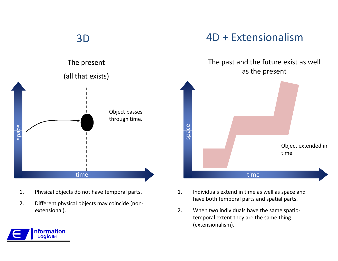#### 3D



- 1. Physical objects do not have temporal parts.
- 2. Different physical objects may coincide (nonextensional).

#### 4D + Extensionalism

#### The past and the future exist as well as the present



- 1. Individuals extend in time as well as space and have both temporal parts and spatial parts.
- 2. When two individuals have the same spatiotemporal extent they are the same thing (extensionalism).

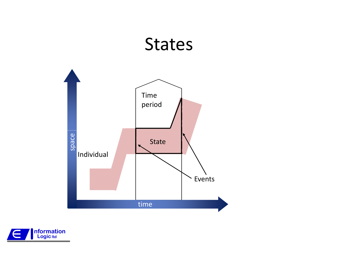#### **States**



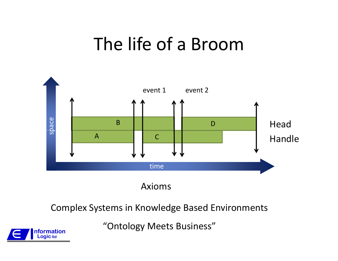### The life of a Broom



Axioms

Complex Systems in Knowledge Based Environments

"Ontology Meets Business"

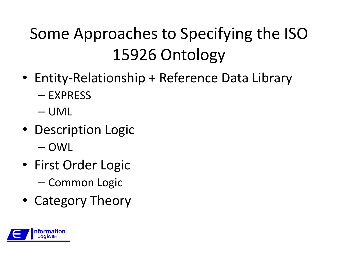### Some Approaches to Specifying the ISO 15926 Ontology

- Entity-Relationship + Reference Data Library–— EXPRESS
	- –— UML
- Description Logic –— OWL
- First Order Logic –— Common Logic
- Category Theory

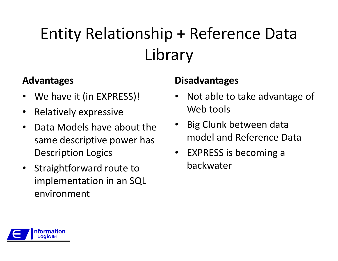## Entity Relationship + Reference Data Library

#### Advantages

- •We have it (in EXPRESS)!
- •Relatively expressive
- • Data Models have about the same descriptive power has Description Logics
- Straightforward route to implementation in an SQL environment

- • Not able to take advantage of Web tools
- Big Clunk between data model and Reference Data
- $\bullet$  EXPRESS is becoming a backwater

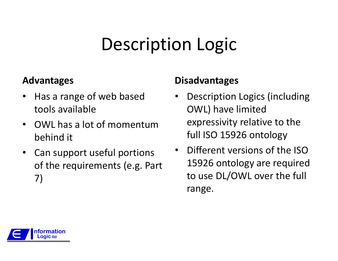# Description Logic

#### Advantages

- • Has a range of web based tools available
- • OWL has a lot of momentum behind it
- Can support useful portions of the requirements (e.g. Part 7)

- • Description Logics (including OWL) have limited expressivity relative to the full ISO 15926 ontology
- • Different versions of the ISO 15926 ontology are required to use DL/OWL over the full range.

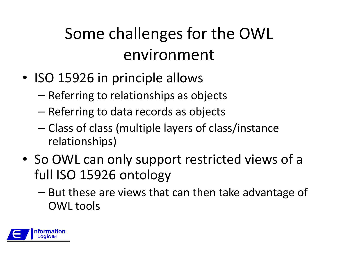### Some challenges for the OWL environment

- ISO 15926 in principle allows
	- – $-$  Referring to relationships as objects
	- – $-$  Referring to data records as objects
	- –- Class of class (multiple layers of class/instance relationships)
- So OWL can only support restricted views of a full ISO 15926 ontology
	- –- But these are views that can then take advantage of OWL tools

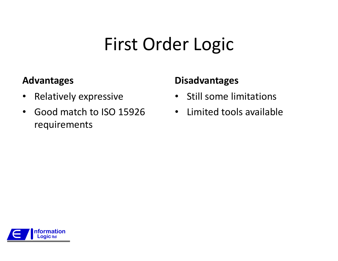# First Order Logic

#### Advantages

- $\bullet$ Relatively expressive
- $\bullet$  Good match to ISO 15926 requirements

- •Still some limitations
- $\bullet$ Limited tools available

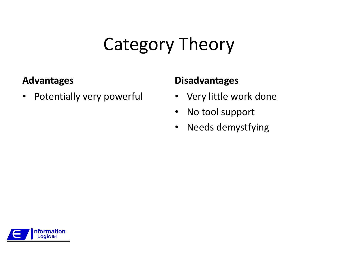## Category Theory

#### Advantages

 $\bullet$ Potentially very powerful

- Very little work done
- $\bullet$ No tool support
- $\bullet$ Needs demystfying

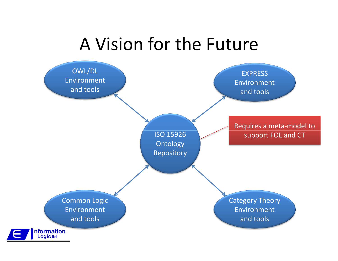#### A Vision for the Future